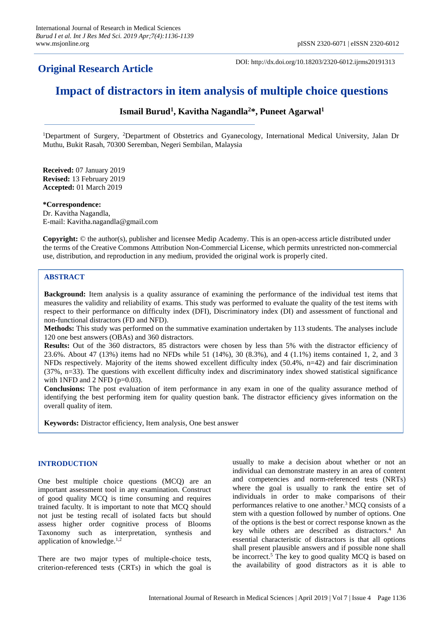## **Original Research Article**

DOI: http://dx.doi.org/10.18203/2320-6012.ijrms20191313

# **Impact of distractors in item analysis of multiple choice questions**

## **Ismail Burud<sup>1</sup> , Kavitha Nagandla<sup>2</sup>\*, Puneet Agarwal<sup>1</sup>**

<sup>1</sup>Department of Surgery, <sup>2</sup>Department of Obstetrics and Gyanecology, International Medical University, Jalan Dr Muthu, Bukit Rasah, 70300 Seremban, Negeri Sembilan, Malaysia

**Received:** 07 January 2019 **Revised:** 13 February 2019 **Accepted:** 01 March 2019

**\*Correspondence:** Dr. Kavitha Nagandla, E-mail: Kavitha.nagandla@gmail.com

**Copyright:** © the author(s), publisher and licensee Medip Academy. This is an open-access article distributed under the terms of the Creative Commons Attribution Non-Commercial License, which permits unrestricted non-commercial use, distribution, and reproduction in any medium, provided the original work is properly cited.

## **ABSTRACT**

**Background:** Item analysis is a quality assurance of examining the performance of the individual test items that measures the validity and reliability of exams. This study was performed to evaluate the quality of the test items with respect to their performance on difficulty index (DFI), Discriminatory index (DI) and assessment of functional and non-functional distractors (FD and NFD).

**Methods:** This study was performed on the summative examination undertaken by 113 students. The analyses include 120 one best answers (OBAs) and 360 distractors.

**Results:** Out of the 360 distractors, 85 distractors were chosen by less than 5% with the distractor efficiency of 23.6%. About 47 (13%) items had no NFDs while 51 (14%), 30 (8.3%), and 4 (1.1%) items contained 1, 2, and 3 NFDs respectively. Majority of the items showed excellent difficulty index (50.4%, n=42) and fair discrimination (37%, n=33). The questions with excellent difficulty index and discriminatory index showed statistical significance with 1NFD and 2 NFD  $(p=0.03)$ .

**Conclusions:** The post evaluation of item performance in any exam in one of the quality assurance method of identifying the best performing item for quality question bank. The distractor efficiency gives information on the overall quality of item.

**Keywords:** Distractor efficiency, Item analysis, One best answer

### **INTRODUCTION**

One best multiple choice questions (MCQ) are an important assessment tool in any examination. Construct of good quality MCQ is time consuming and requires trained faculty. It is important to note that MCQ should not just be testing recall of isolated facts but should assess higher order cognitive process of Blooms Taxonomy such as interpretation, synthesis and application of knowledge. $1,2$ 

There are two major types of multiple-choice tests, criterion-referenced tests (CRTs) in which the goal is usually to make a decision about whether or not an individual can demonstrate mastery in an area of content and competencies and norm-referenced tests (NRTs) where the goal is usually to rank the entire set of individuals in order to make comparisons of their performances relative to one another.<sup>3</sup>MCQ consists of a stem with a question followed by number of options. One of the options is the best or correct response known as the key while others are described as distractors. <sup>4</sup> An essential characteristic of distractors is that all options shall present plausible answers and if possible none shall be incorrect.<sup>5</sup> The key to good quality MCQ is based on the availability of good distractors as it is able to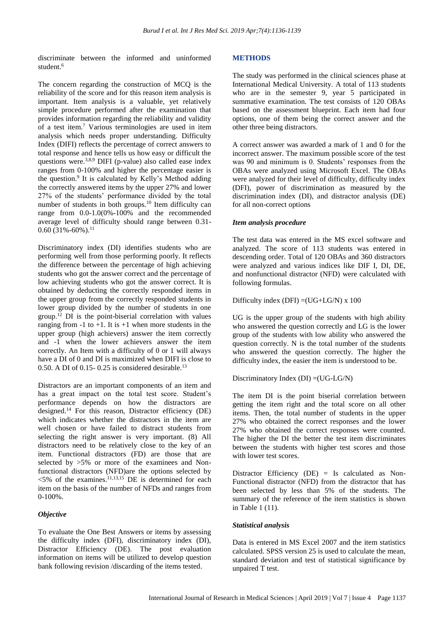discriminate between the informed and uninformed student.<sup>6</sup>

The concern regarding the construction of MCQ is the reliability of the score and for this reason item analysis is important. Item analysis is a valuable, yet relatively simple procedure performed after the examination that provides information regarding the reliability and validity of a test item.<sup>7</sup> Various terminologies are used in item analysis which needs proper understanding. Difficulty Index (DIFI) reflects the percentage of correct answers to total response and hence tells us how easy or difficult the questions were.<sup>3,8,9</sup> DIFI (p-value) also called ease index ranges from 0-100% and higher the percentage easier is the question.<sup>9</sup> It is calculated by Kelly's Method adding the correctly answered items by the upper 27% and lower 27% of the students' performance divided by the total number of students in both groups.<sup>10</sup> Item difficulty can range from 0.0-1.0(0%-100% and the recommended average level of difficulty should range between 0.31-  $0.60$  (31%-60%).<sup>11</sup>

Discriminatory index (DI) identifies students who are performing well from those performing poorly. It reflects the difference between the percentage of high achieving students who got the answer correct and the percentage of low achieving students who got the answer correct. It is obtained by deducting the correctly responded items in the upper group from the correctly responded students in lower group divided by the number of students in one group.<sup>12</sup> DI is the point-biserial correlation with values ranging from -1 to  $+1$ . It is  $+1$  when more students in the upper group (high achievers) answer the item correctly and -1 when the lower achievers answer the item correctly. An Item with a difficulty of 0 or 1 will always have a DI of 0 and DI is maximized when DIFI is close to 0.50. A DI of 0.15- 0.25 is considered desirable.<sup>13</sup>

Distractors are an important components of an item and has a great impact on the total test score. Student's performance depends on how the distractors are designed.<sup>14</sup> For this reason, Distractor efficiency (DE) which indicates whether the distractors in the item are well chosen or have failed to distract students from selecting the right answer is very important. (8) All distractors need to be relatively close to the key of an item. Functional distractors (FD) are those that are selected by >5% or more of the examinees and Nonfunctional distractors (NFD)are the options selected by  $\leq$ 5% of the examines.<sup>11,13,15</sup> DE is determined for each item on the basis of the number of NFDs and ranges from 0-100%.

### *Objective*

To evaluate the One Best Answers or items by assessing the difficulty index (DFI), discriminatory index (DI), Distractor Efficiency (DE). The post evaluation information on items will be utilized to develop question bank following revision /discarding of the items tested.

## **METHODS**

The study was performed in the clinical sciences phase at International Medical University. A total of 113 students who are in the semester 9, year 5 participated in summative examination. The test consists of 120 OBAs based on the assessment blueprint. Each item had four options, one of them being the correct answer and the other three being distractors.

A correct answer was awarded a mark of 1 and 0 for the incorrect answer. The maximum possible score of the test was 90 and minimum is 0. Students' responses from the OBAs were analyzed using Microsoft Excel. The OBAs were analyzed for their level of difficulty, difficulty index (DFI), power of discrimination as measured by the discrimination index (DI), and distractor analysis (DE) for all non-correct options

### *Item analysis procedure*

The test data was entered in the MS excel software and analyzed. The score of 113 students was entered in descending order. Total of 120 OBAs and 360 distractors were analyzed and various indices like DIF I, DI, DE, and nonfunctional distractor (NFD) were calculated with following formulas.

Difficulty index  $(DFI) = (UG + LG/N) \times 100$ 

UG is the upper group of the students with high ability who answered the question correctly and LG is the lower group of the students with low ability who answered the question correctly. N is the total number of the students who answered the question correctly. The higher the difficulty index, the easier the item is understood to be.

### Discriminatory Index (DI) =(UG-LG/N)

The item DI is the point biserial correlation between getting the item right and the total score on all other items. Then, the total number of students in the upper 27% who obtained the correct responses and the lower 27% who obtained the correct responses were counted. The higher the DI the better the test item discriminates between the students with higher test scores and those with lower test scores.

Distractor Efficiency (DE) = Is calculated as Non-Functional distractor (NFD) from the distractor that has been selected by less than 5% of the students. The summary of the reference of the item statistics is shown in Table 1 (11).

### *Statistical analysis*

Data is entered in MS Excel 2007 and the item statistics calculated. SPSS version 25 is used to calculate the mean, standard deviation and test of statistical significance by unpaired T test.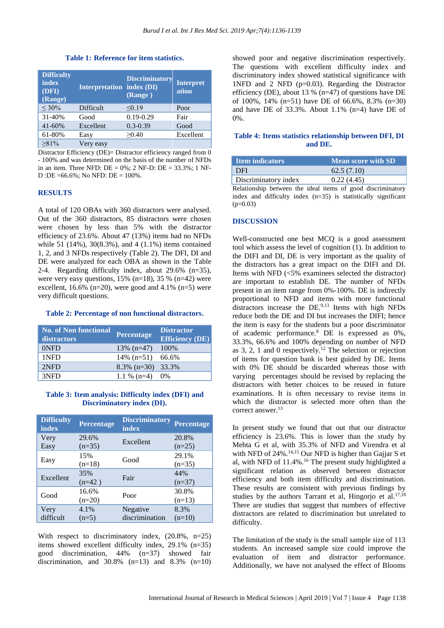**Table 1: Reference for item statistics.**

| <b>Difficulty</b><br>index<br>(DFI)<br>(Range) | <b>Interpretation index (DI)</b> | <b>Discriminatory</b><br>(Range) | <b>Interpret</b><br>ation |
|------------------------------------------------|----------------------------------|----------------------------------|---------------------------|
| $< 30\%$                                       | Difficult                        | < 0.19                           | Poor                      |
| 31-40%                                         | Good                             | $0.19 - 0.29$                    | Fair                      |
| $41 - 60%$                                     | Excellent                        | $0.3 - 0.39$                     | Good                      |
| 61-80%                                         | Easy                             | >0.40                            | Excellent                 |
| $\geq 81\%$                                    | Very easy                        |                                  |                           |

Distractor Efficiency (DE)= Distractor efficiency ranged from  $\overline{0}$ - 100% and was determined on the basis of the number of NFDs in an item. Three NFD:  $DE = 0\%$ ; 2 NF-D:  $DE = 33.3\%$ ; 1 NF-D :DE = $66.6\%$ ; No NFD: DE =  $100\%$ .

#### **RESULTS**

A total of 120 OBAs with 360 distractors were analysed. Out of the 360 distractors, 85 distractors were chosen were chosen by less than 5% with the distractor efficiency of 23.6%. About 47 (13%) items had no NFDs while 51 (14%), 30(8.3%), and 4 (1.1%) items contained 1, 2, and 3 NFDs respectively (Table 2). The DFI, DI and DE were analyzed for each OBA as shown in the Table 2-4. Regarding difficulty index, about 29.6% (n=35), were very easy questions,  $15\%$  (n=18),  $35\%$  (n=42) were excellent,  $16.6\%$  (n=20), were good and  $4.1\%$  (n=5) were very difficult questions.

#### **Table 2: Percentage of non functional distractors.**

| <b>No. of Non functional</b><br>distractors | Percentage     | <b>Distractor</b><br><b>Efficiency (DE)</b> |
|---------------------------------------------|----------------|---------------------------------------------|
| 0NFD                                        | $13\%$ (n=47)  | 100%                                        |
| 1NFD                                        | $14\%$ (n=51)  | 66.6%                                       |
| 2NFD                                        | $8.3\%$ (n=30) | 33.3%                                       |
| 3NFD                                        | 1.1 % $(n=4)$  | $0\%$                                       |

#### **Table 3: Item analysis: Difficulty index (DFI) and Discriminatory index (DI).**

| <b>Difficulty</b><br>index | Percentage        | <b>Discriminatory</b><br>index | Percentage        |
|----------------------------|-------------------|--------------------------------|-------------------|
| Very<br>Easy               | 29.6%<br>$(n=35)$ | Excellent                      | 20.8%<br>$(n=25)$ |
| Easy                       | 15%<br>$(n=18)$   | Good                           | 29.1%<br>$(n=35)$ |
| Excellent                  | 35%<br>$(n=42)$   | Fair                           | 44%<br>$(n=37)$   |
| Good                       | 16.6%<br>$(n=20)$ | Poor                           | 30.8%<br>$(n=13)$ |
| Very<br>difficult          | 4.1%<br>$(n=5)$   | Negative<br>discrimination     | 8.3%<br>$(n=10)$  |

With respect to discriminatory index,  $(20.8\% , n=25)$ items showed excellent difficulty index, 29.1% (n=35) good discrimination, 44% (n=37) showed fair discrimination, and  $30.8\%$  (n=13) and  $8.3\%$  (n=10) showed poor and negative discrimination respectively. The questions with excellent difficulty index and discriminatory index showed statistical significance with 1NFD and 2 NFD (p=0.03). Regarding the Distractor efficiency (DE), about 13 % (n=47) of questions have DE of 100%, 14% (n=51) have DE of 66.6%, 8.3% (n=30) and have DE of 33.3%. About 1.1% (n=4) have DE of 0%.

#### **Table 4: Items statistics relationship between DFI, DI and DE.**

| Item indicators      | <b>Mean score with SD</b> |
|----------------------|---------------------------|
| DFI                  | 62.5(7.10)                |
| Discriminatory index | 0.22(4.45)                |

Relationship between the ideal items of good discriminatory index and difficulty index (n=35) is statistically significant  $(p=0.03)$ 

#### **DISCUSSION**

Well-constructed one best MCQ is a good assessment tool which assess the level of cognition (1). In addition to the DIFI and DI, DE is very important as the quality of the distractors has a great impact on the DIFI and DI. Items with NFD (<5% examinees selected the distractor) are important to establish DE. The number of NFDs present in an item range from 0%-100%. DE is indirectly proportional to NFD and items with more functional distractors increase the DE.<sup>9,13</sup> Items with high NFDs reduce both the DE and DI but increases the DIFI; hence the item is easy for the students but a poor discriminator of academic performance.<sup>8</sup> DE is expressed as 0%, 33.3%, 66.6% and 100% depending on number of NFD as 3, 2, 1 and 0 respectively.<sup>12</sup> The selection or rejection of items for question bank is best guided by DE. Items with 0% DE should be discarded whereas those with varying percentages should be revised by replacing the distractors with better choices to be reused in future examinations. It is often necessary to revise items in which the distractor is selected more often than the correct answer.<sup>13</sup>

In present study we found that out that our distractor efficiency is 23.6%. This is lower than the study by Mehta G et al, with 35.3% of NFD and Virendra et al with NFD of  $24\%$ .<sup>14,15</sup> Our NFD is higher than Gajjar S et al, with NFD of  $11.4\%$ .<sup>16</sup> The present study highlighted a significant relation as observed between distractor efficiency and both item difficulty and discrimination. These results are consistent with previous findings by studies by the authors Tarrant et al, Hingorjo et al.<sup>17,18</sup> There are studies that suggest that numbers of effective distractors are related to discrimination but unrelated to difficulty.

The limitation of the study is the small sample size of 113 students. An increased sample size could improve the evaluation of item and distractor performance. Additionally, we have not analysed the effect of Blooms